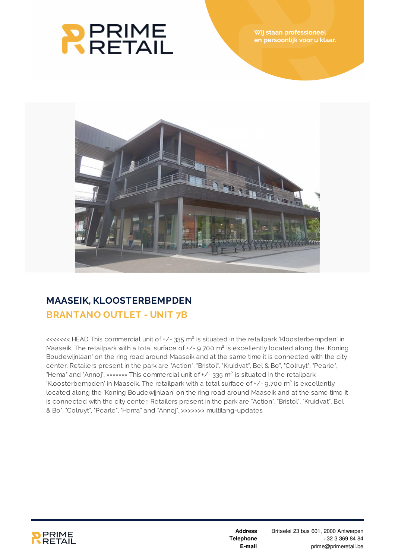



## **MAASEIK, KLOOSTERBEMPDEN BRANTANO OUTLET - UNIT 7B**

<<<<<<< HEAD This commercial unit of +/- 335 m² is situated in the retailpark 'Kloosterbempden' in Maaseik. The retailpark with a total surface of +/- 9.700 m<sup>2</sup> is excellently located along the 'Koning' Boudewijnlaan' on the ring road around Maaseik and at the same time it is connected with the city center. Retailers present in the park are "Action", "Bristol", "Kruidvat", Bel & Bo", "Colruyt", "Pearle", "Hema" and "Annoj". ======= This commercial unit of +/- 335 m<sup>2</sup> is situated in the retailpark 'Kloosterbempden' in Maaseik. The retailpark with a total surface of  $+/-$  9.700 m<sup>2</sup> is excellently located along the 'Koning Boudewijnlaan' on the ring road around Maaseik and at the same time it is connected with the city center. Retailers present in the park are "Action", "Bristol", "Kruidvat", Bel & Bo", "Colruyt", "Pearle", "Hema" and "Annoj". >>>>>>> multilang-updates



**Address Telephone E-mail**